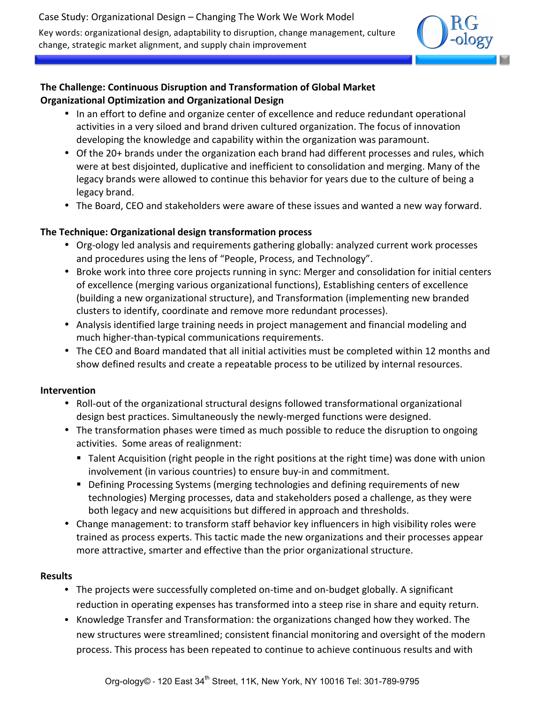

## **The Challenge: Continuous Disruption and Transformation of Global Market Organizational Optimization and Organizational Design**

- In an effort to define and organize center of excellence and reduce redundant operational activities in a very siloed and brand driven cultured organization. The focus of innovation developing the knowledge and capability within the organization was paramount.
- Of the 20+ brands under the organization each brand had different processes and rules, which were at best disjointed, duplicative and inefficient to consolidation and merging. Many of the legacy brands were allowed to continue this behavior for years due to the culture of being a legacy brand.
- The Board, CEO and stakeholders were aware of these issues and wanted a new way forward.

## **The Technique: Organizational design transformation process**

- Org-ology led analysis and requirements gathering globally: analyzed current work processes and procedures using the lens of "People, Process, and Technology".
- Broke work into three core projects running in sync: Merger and consolidation for initial centers of excellence (merging various organizational functions), Establishing centers of excellence (building a new organizational structure), and Transformation (implementing new branded clusters to identify, coordinate and remove more redundant processes).
- Analysis identified large training needs in project management and financial modeling and much higher-than-typical communications requirements.
- The CEO and Board mandated that all initial activities must be completed within 12 months and show defined results and create a repeatable process to be utilized by internal resources.

## **Intervention**

- Roll-out of the organizational structural designs followed transformational organizational design best practices. Simultaneously the newly-merged functions were designed.
- The transformation phases were timed as much possible to reduce the disruption to ongoing activities. Some areas of realignment:
	- Talent Acquisition (right people in the right positions at the right time) was done with union involvement (in various countries) to ensure buy-in and commitment.
	- Defining Processing Systems (merging technologies and defining requirements of new technologies) Merging processes, data and stakeholders posed a challenge, as they were both legacy and new acquisitions but differed in approach and thresholds.
- Change management: to transform staff behavior key influencers in high visibility roles were trained as process experts. This tactic made the new organizations and their processes appear more attractive, smarter and effective than the prior organizational structure.

## **Results**

- The projects were successfully completed on-time and on-budget globally. A significant reduction in operating expenses has transformed into a steep rise in share and equity return.
- Knowledge Transfer and Transformation: the organizations changed how they worked. The new structures were streamlined; consistent financial monitoring and oversight of the modern process. This process has been repeated to continue to achieve continuous results and with